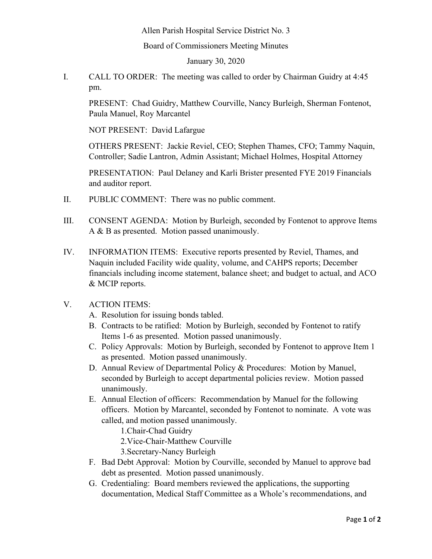Allen Parish Hospital Service District No. 3

Board of Commissioners Meeting Minutes

January 30, 2020

I. CALL TO ORDER: The meeting was called to order by Chairman Guidry at 4:45 pm.

PRESENT: Chad Guidry, Matthew Courville, Nancy Burleigh, Sherman Fontenot, Paula Manuel, Roy Marcantel

NOT PRESENT: David Lafargue

OTHERS PRESENT: Jackie Reviel, CEO; Stephen Thames, CFO; Tammy Naquin, Controller; Sadie Lantron, Admin Assistant; Michael Holmes, Hospital Attorney

PRESENTATION: Paul Delaney and Karli Brister presented FYE 2019 Financials and auditor report.

- II. PUBLIC COMMENT: There was no public comment.
- III. CONSENT AGENDA: Motion by Burleigh, seconded by Fontenot to approve Items A & B as presented. Motion passed unanimously.
- IV. INFORMATION ITEMS: Executive reports presented by Reviel, Thames, and Naquin included Facility wide quality, volume, and CAHPS reports; December financials including income statement, balance sheet; and budget to actual, and ACO & MCIP reports.
- V. ACTION ITEMS:
	- A. Resolution for issuing bonds tabled.
	- B. Contracts to be ratified: Motion by Burleigh, seconded by Fontenot to ratify Items 1-6 as presented. Motion passed unanimously.
	- C. Policy Approvals: Motion by Burleigh, seconded by Fontenot to approve Item 1 as presented. Motion passed unanimously.
	- D. Annual Review of Departmental Policy & Procedures: Motion by Manuel, seconded by Burleigh to accept departmental policies review. Motion passed unanimously.
	- E. Annual Election of officers: Recommendation by Manuel for the following officers. Motion by Marcantel, seconded by Fontenot to nominate. A vote was called, and motion passed unanimously.

1.Chair-Chad Guidry

2.Vice-Chair-Matthew Courville

3.Secretary-Nancy Burleigh

- F. Bad Debt Approval: Motion by Courville, seconded by Manuel to approve bad debt as presented. Motion passed unanimously.
- G. Credentialing: Board members reviewed the applications, the supporting documentation, Medical Staff Committee as a Whole's recommendations, and